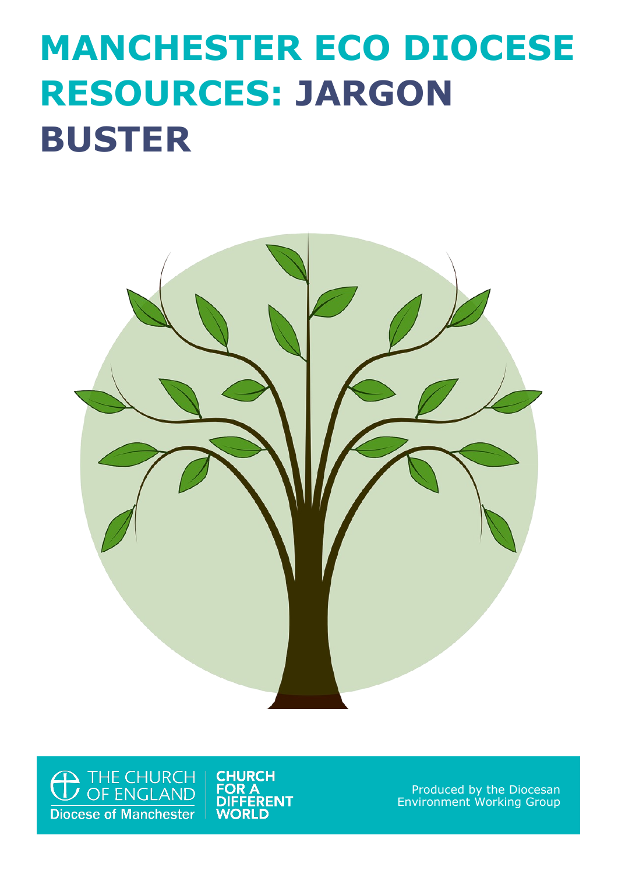## **MANCHESTER ECO DIOCESE RESOURCES: JARGON BUSTER**



<sup>THE CHURCH</sup><br>
OF ENGLAND **Diocese of Manchester** 

**CHURCH FOR A DIFFERENT WORLD** 

Produced by the Diocesan Environment Working Group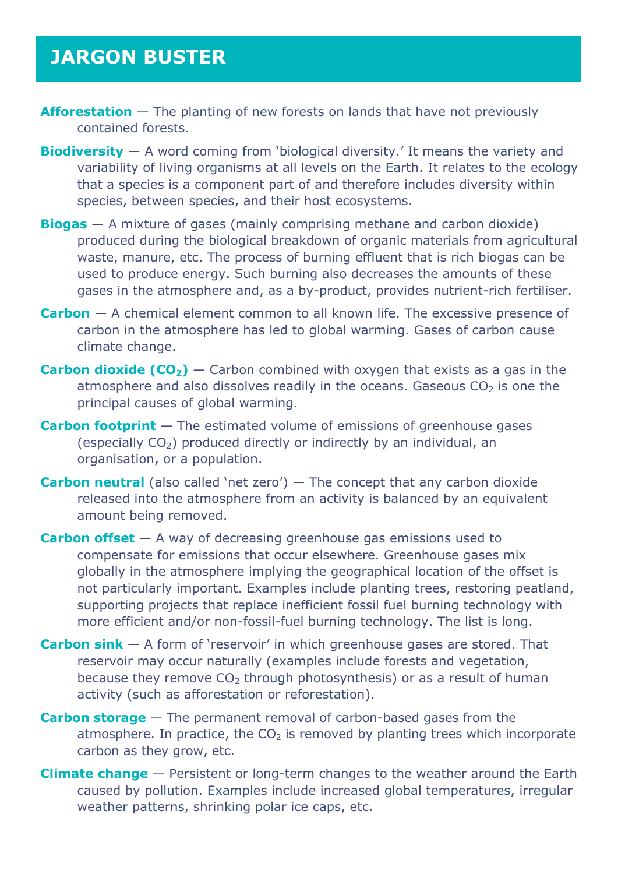## **JARGON BUSTER**

- **Afforestation** The planting of new forests on lands that have not previously contained forests.
- **Biodiversity** A word coming from 'biological diversity.' It means the variety and variability of living organisms at all levels on the Earth. It relates to the ecology that a species is a component part of and therefore includes diversity within species, between species, and their host ecosystems.
- **Biogas** A mixture of gases (mainly comprising methane and carbon dioxide) produced during the biological breakdown of organic materials from agricultural waste, manure, etc. The process of burning effluent that is rich biogas can be used to produce energy. Such burning also decreases the amounts of these gases in the atmosphere and, as a by-product, provides nutrient-rich fertiliser.
- **Carbon** A chemical element common to all known life. The excessive presence of carbon in the atmosphere has led to global warming. Gases of carbon cause climate change.
- **Carbon dioxide (CO<sub>2</sub>)** Carbon combined with oxygen that exists as a gas in the atmosphere and also dissolves readily in the oceans. Gaseous  $CO<sub>2</sub>$  is one the principal causes of global warming.
- **Carbon footprint** The estimated volume of emissions of greenhouse gases (especially  $CO<sub>2</sub>$ ) produced directly or indirectly by an individual, an organisation, or a population.
- **Carbon neutral** (also called 'net zero') The concept that any carbon dioxide released into the atmosphere from an activity is balanced by an equivalent amount being removed.
- **Carbon offset** A way of decreasing greenhouse gas emissions used to compensate for emissions that occur elsewhere. Greenhouse gases mix globally in the atmosphere implying the geographical location of the offset is not particularly important. Examples include planting trees, restoring peatland, supporting projects that replace inefficient fossil fuel burning technology with more efficient and/or non-fossil-fuel burning technology. The list is long.
- **Carbon sink**  A form of 'reservoir' in which greenhouse gases are stored. That reservoir may occur naturally (examples include forests and vegetation, because they remove  $CO<sub>2</sub>$  through photosynthesis) or as a result of human activity (such as afforestation or reforestation).
- **Carbon storage**  The permanent removal of carbon-based gases from the atmosphere. In practice, the  $CO<sub>2</sub>$  is removed by planting trees which incorporate carbon as they grow, etc.
- **Climate change** Persistent or long-term changes to the weather around the Earth caused by pollution. Examples include increased global temperatures, irregular weather patterns, shrinking polar ice caps, etc.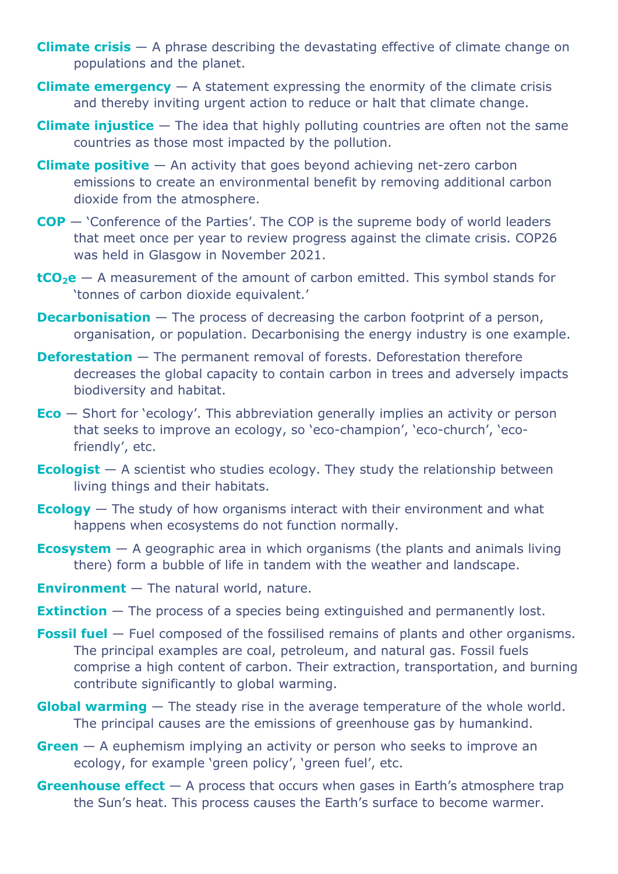- **Climate crisis** A phrase describing the devastating effective of climate change on populations and the planet.
- **Climate emergency** A statement expressing the enormity of the climate crisis and thereby inviting urgent action to reduce or halt that climate change.
- **Climate injustice** The idea that highly polluting countries are often not the same countries as those most impacted by the pollution.
- **Climate positive** An activity that goes beyond achieving net-zero carbon emissions to create an environmental benefit by removing additional carbon dioxide from the atmosphere.
- **COP**  'Conference of the Parties'. The COP is the supreme body of world leaders that meet once per year to review progress against the climate crisis. COP26 was held in Glasgow in November 2021.
- **tCO<sub>2</sub>e** A measurement of the amount of carbon emitted. This symbol stands for 'tonnes of carbon dioxide equivalent.'
- **Decarbonisation** The process of decreasing the carbon footprint of a person, organisation, or population. Decarbonising the energy industry is one example.
- **Deforestation** The permanent removal of forests. Deforestation therefore decreases the global capacity to contain carbon in trees and adversely impacts biodiversity and habitat.
- **Eco**  Short for 'ecology'. This abbreviation generally implies an activity or person that seeks to improve an ecology, so 'eco-champion', 'eco-church', 'ecofriendly', etc.
- **Ecologist** A scientist who studies ecology. They study the relationship between living things and their habitats.
- **Ecology** The study of how organisms interact with their environment and what happens when ecosystems do not function normally.
- **Ecosystem** A geographic area in which organisms (the plants and animals living there) form a bubble of life in tandem with the weather and landscape.
- **Environment**  The natural world, nature.
- **Extinction** The process of a species being extinguished and permanently lost.
- **Fossil fuel** Fuel composed of the fossilised remains of plants and other organisms. The principal examples are coal, petroleum, and natural gas. Fossil fuels comprise a high content of carbon. Their extraction, transportation, and burning contribute significantly to global warming.
- **Global warming** The steady rise in the average temperature of the whole world. The principal causes are the emissions of greenhouse gas by humankind.
- **Green** A euphemism implying an activity or person who seeks to improve an ecology, for example 'green policy', 'green fuel', etc.
- **Greenhouse effect**  $-$  A process that occurs when gases in Earth's atmosphere trap the Sun's heat. This process causes the Earth's surface to become warmer.